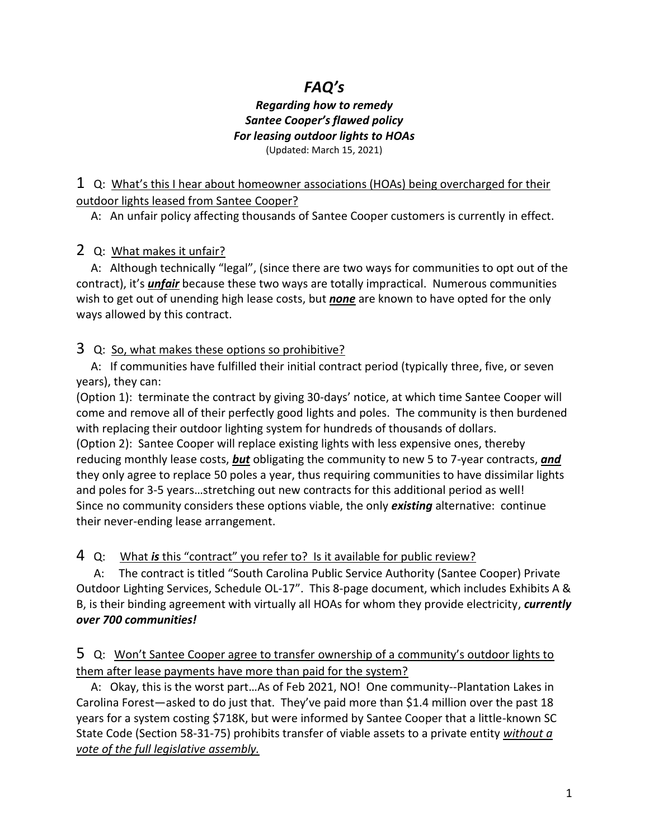## *FAQ's*

## *Regarding how to remedy Santee Cooper's flawed policy For leasing outdoor lights to HOAs* (Updated: March 15, 2021)

1 Q: What's this I hear about homeowner associations (HOAs) being overcharged for their outdoor lights leased from Santee Cooper?

A: An unfair policy affecting thousands of Santee Cooper customers is currently in effect.

2 Q: What makes it unfair?

 A: Although technically "legal", (since there are two ways for communities to opt out of the contract), it's *unfair* because these two ways are totally impractical. Numerous communities wish to get out of unending high lease costs, but *none* are known to have opted for the only ways allowed by this contract.

3 Q: So, what makes these options so prohibitive?

 A: If communities have fulfilled their initial contract period (typically three, five, or seven years), they can:

(Option 1): terminate the contract by giving 30-days' notice, at which time Santee Cooper will come and remove all of their perfectly good lights and poles. The community is then burdened with replacing their outdoor lighting system for hundreds of thousands of dollars. (Option 2): Santee Cooper will replace existing lights with less expensive ones, thereby

reducing monthly lease costs, *but* obligating the community to new 5 to 7-year contracts, *and* they only agree to replace 50 poles a year, thus requiring communities to have dissimilar lights and poles for 3-5 years…stretching out new contracts for this additional period as well! Since no community considers these options viable, the only *existing* alternative: continue their never-ending lease arrangement.

4 Q: What *is* this "contract" you refer to? Is it available for public review?

 A: The contract is titled "South Carolina Public Service Authority (Santee Cooper) Private Outdoor Lighting Services, Schedule OL-17". This 8-page document, which includes Exhibits A & B, is their binding agreement with virtually all HOAs for whom they provide electricity, *currently over 700 communities!*

5 Q: Won't Santee Cooper agree to transfer ownership of a community's outdoor lights to them after lease payments have more than paid for the system?

 A: Okay, this is the worst part…As of Feb 2021, NO! One community--Plantation Lakes in Carolina Forest—asked to do just that. They've paid more than \$1.4 million over the past 18 years for a system costing \$718K, but were informed by Santee Cooper that a little-known SC State Code (Section 58-31-75) prohibits transfer of viable assets to a private entity *without a vote of the full legislative assembly.*